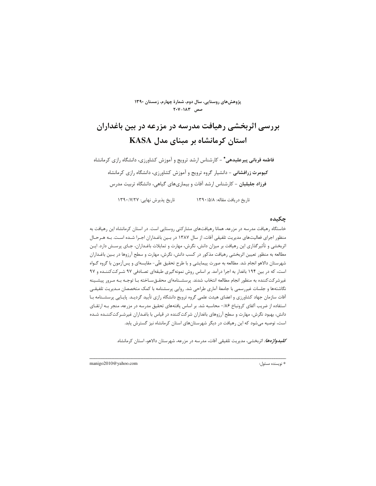پژوهش های روستایی، سال دوم، شمارهٔ چهارم، زمستان ۱۳۹۰  $Y - Y - 1 \wedge Y$ صص

# بررسی اثربخشی رهیافت مدرسه در مزرعه در بین باغداران استان کرمانشاه بر مبنای مدل KASA

فاطمه قربانی پیرعلیدهی\* - کارشناس ارشد ترویج و آموزش کشاورزی، دانشگاه رازی کرمانشاه **کیومرث زرافشانی** - دانشیار گروه ترویج و آموزش کشاورزی، دانشگاه رازی کرمانشاه فرزاد جلیلیان - کارشناس ارشد آفات و بیماریهای گیاهی، دانشگاه تربیت مدرس

> تاریخ پذیرش نهایی: ۱۳۹۰/۷/۲۷ تاريخ دريافت مقاله: ١٣٩٠/٥/٨

## چکیده

خاستگاه رهیافت مدرسه در مزرعه، همانا رهیافتهای مشارکتی روستایی است. در استان کرمانشاه این رهیافت به منظور اجرای فعالیتهای مدیریت تلفیقی آفات، از سال ۱۳۸۷ در بـین باغـداران اجـرا شـده اسـت. بـه هـرحـال اثربخشی و تأثیرگذاری این رهیافت بر میزان دانش، نگرش، مهارت و تمایلات باغـداران، جـای پرســش دارد. ایــن مطالعه به منظور تعيين اثربخشي رهيافت مذكور در كسب دانش، نگرش، مهارت و سطح آرزوها در بـين باغـداران شهرستان دالاهو انجام شد. مطالعه به صورت پیمایشی و با طرح تحقیق علّی- مقایسهای و پسآزمون با گروه گـواه است، که در بین ۱۹۴ باغدار به اجرا درآمد. بر اساس روش نمونهگیری طبقهای تصـادفی ۹۷ شـرکتکننـده و ۹۷ غیرشر کت کننده به منظور انجام مطالعه انتخاب شدند. پرسشـنامهای محقـقسـاخته بـا توجـه بـه مـرور پیشـینه نگاشتهها و جلسات غیررسمی با جامعهٔ آماری طراحی شد. روایی پرسشنامه با کمک متخصصان مـدیریت تلفیقـی آفات سازمان جهاد کشاورزی و اعضای هیئت علمی گروه ترویج دانشگاه رازی تأیید گردیـد. پایـایی پرسشـنامه بـا استفاده از ضریب آلفای کرونباخ ۰/۸۶ محاسبه شد. بر اساس یافتههای تحقیق مدرسه در مزرعه، منجر بـه ارتقــای دانش، بهبود نگرش، مهارت و سطح آرزوهای باغداران شرکتکننده در قیاس با باغـداران غیرشـرکتکننـده شـده است، توصیه میشود که این رهیافت در دیگر شهرستانهای استان کرمانشاه نیز گسترش یابد.

*كليدواژهها:* اثربخشي، مديريت تلفيقي آفات، مدرسه در مزرعه، شهرستان دالاهو، استان كرمانشاه.

\* نويسنده مسئول:

manigo2010@yahoo.com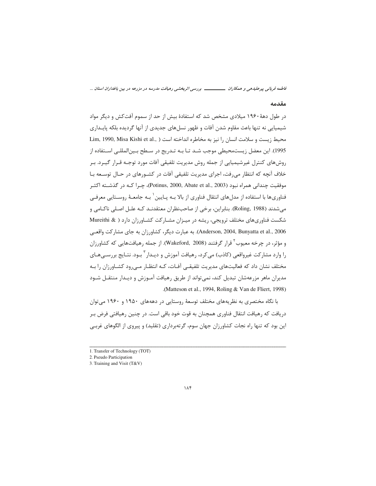**%%% -^-\$ "\$- 8(-(!-"`\$@\$ -"\* "9-\$?N-**

#### مقدمه

در طول دههٔ ۱۹۶۰ میلادی مشخص شد که استفادهٔ بیش از حد از سموم آفتکش و دیگر مواد شیمیایی نه تنها باعث مقاوم شدن آفات و ظهور نسلهای جدیدی از آنها گردیده بلکه پایـداری محيط زيست و سلامت انسان را نيز به مخاطره انداخته است ( ,Lim, 1990, Misa Kishi et al 1995). این معضل زیستمحیطی موجب شـد تـا بـه تـدریج در سـطح بـین|لمللـی اسـتفاده از روشهای کنترل غیرشیمیایی از جمله روش مدیریت تلفیقی آفات مورد توجـه قـرار گیـرد. بـر خلاف آنچه که انتظار میرفت، اجرای مدیریت تلفیقی آفات در کشـورهای در حـال توسـعه بـا موفقيت چنداني همراه نبود (Potinus, 2000, Abate et al., 2003)، چـرا كــه در گذشــته اكثــر .<br>فناوريها با استفاده از مدلهاي انتقال فناوري از بالا بـه پـايين<sup>\</sup> بـه جامعـهٔ روسـتايي معرفـي میشدند (Roling, 1988). بنابراین، برخی از صاحبنظران معتقدنـد کـه علـل اصـلی ناکـامی و شکست فناوریهای مختلف ترویجی، ریشه در میـزان مشـارکت کشـاورزان دارد ( & Mureithi Anderson, 2004, Bunyatta et al., 2006). به عبارت دیگر، کشاورزان به جای مشارکت واقعـی و مؤثر، در چرخه معیوب<sup>۲</sup> قرار گرفتند (Wakeford, 2008). از جمله رهیافتهایی که کشاورزان را وارد مشاركت غيرواقعي (كاذب) ميكرد، رهيافت آموزش و ديـدار <sup>۳</sup> بـود. نتـايج بررسـيهـاي مختلف نشان داد که فعالیتهای مدیریت تلفیقـی آفـات، کـه انتظـار مـیرود کشـاورزان را بـه مديران ماهر مزرعهشان تبديل كند، نمىتواند از طريق رهيافت آمـوزش و ديـدار منتقــل شــود .(Matteson et al., 1994, Roling & Van de Fliert, 1998)

با نگاه مختصری به نظریههای مختلف توسعهٔ روستایی در دهههای ۱۹۵۰ و ۱۹۶۰ میتوان دریافت که رهیافت انتقال فناوری همچنان به قوت خود باقی است. در چنین رهیافتی فرض بـر این بود که تنها راه نجات کشاورزان جهان سوم، گرتهبرداری (تقلید) و پیروی از الگوهای غربے

#### -Zn

<sup>1.</sup> Transfer of Technology (TOT)

<sup>2.</sup> Pseudo Participation

<sup>3</sup>> Training and Visit (T&V)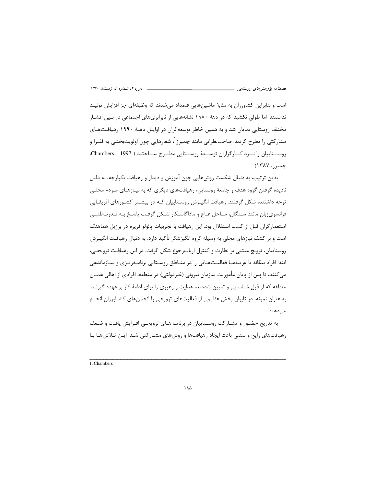است و بنابراین کشاورزان به مثابهٔ ماشینهایی قلمداد میشدند که وظیفهای جز افزایش تولیـد نداشتند. اما طولی نکشید که در دههٔ ۱۹۸۰ نشانههایی از نابرابریهای اجتماعی در بـین اقشـار مختلف روستایی نمایان شد و به همین خاطر توسعه گران در اوایـل دهـهٔ ۱۹۹۰ رهیافـتهـای مشارکتی را مطرح کردند. صاحبنظرانی مانند چمبرز <sup>۱</sup>، شعارهایی چون اولویتبخشی به فقـرا و روسستاییان را نیزد کیارگزاران توسیعهٔ روسیتایی مطبرح سیاختند ( Chambers, 1997، چمبرز، ۱۳۸۷).

بدین ترتیب، به دنبال شکست روشهایی چون آموزش و دیدار و رهیافت یکپارچه، به دلیل نادیده گرفتن گروه هدف و جامعهٔ روستایی، رهیافتهای دیگری که به نیـازهـای مـردم محلـی توجه داشتند، شکل گرفتند. رهیافت انگیـزش روسـتاییان کـه در بیشـتر کشـورهای افریقـایی فرانسوی;بان مانند سـنگال، سـاحل عـاج و ماداگاسـكار شـكل گرفـت پاسـخ بـه قـدر ت1طلبـي استعمارگران قبل از کسب استقلال بود. این رهیافت با تجربیات پائولو فریره در برزیل هماهنگ است و بر کشف نیازهای محلی به وسیله گروه انگیزشگر تأکید دارد. به دنبال رهیافت انگیـزش روستاییان، ترویج مبتنی بر نظارت و کنترل ارباب رجوع شکل گرفت. در این رهیافت ترویجی، ابتدا افراد بیگانه یا غریبههـا فعالیـتهـایی را در منـاطق روسـتایی برنامـهریـزی و سـازماندهی می کنند، تا پس از پایان مأموریت سازمان بیرونی (غیردولتی) در منطقه، افرادی از اهالی همــان منطقه که از قبل شناسایی و تعیین شدهاند، هدایت و رهبری را برای ادامهٔ کار بر عهده گیرنـد. به عنوان نمونه، در تایوان بخش عظیمی از فعالیتهای ترویجی را انجمنهای کشـاورزان انجـام مے دھند.

به تدریج حضـور و مشـارکت روسـتاییان در برنامـههـای ترویجـی افـزایش یافـت و ضـعف رهیافتهای رایج و سنتی باعث ایجاد رهیافتها و روشهای مشـارکتی شـد. ایـن تـلاش۱مـا بـا

1. Chambers

 $\lambda \Delta$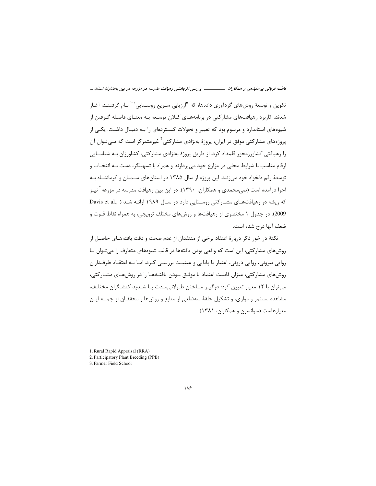### فاطمه قربانی پیرعلیدهی و همکاران ــــــــــــــــــ بررسی اثربخشی رهیافت مدرسه در مزرعه در بین باغداران استان ...

تکوین و توسعهٔ روشهای گردآوری دادهها، که "ارزیابی سـریع روسـتایی"` نـام گرفتنـد، آغـاز شدند. کاربرد رهیافتهای مشارکتی در برنامههـای کـلان توسـعه بـه معنـای فاصـله گـرفتن از شیوههای استاندارد و مرسوم بود که تغییر و تحولات گســتردهای را بـه دنبـال داشـت. یکــی از پروژههای مشارکتی موفق در ایران، پروژهٔ بهنژادی مشارکتی<sup>۲</sup> غیرمتمرکز است که مـیتـوان آن را رهیافتی کشاورزمحور قلمداد کرد. از طریق پروژهٔ بهنژادی مشارکتی، کشاورزان بـه شناسـایی ارقام مناسب با شرایط محلی در مزارع خود میپردازند و همراه با تسهیلگر، دست بـه انتخـاب و توسعهٔ رقم دلخواه خود می;نند. این پروژه از سال ۱۳۸۵ در استانهای سـمنان و کرمانشـاه بـه اجرا درآمده است (صی،محمدی و همکاران، ۱۳۹۰). در این بین رهیافت مدرسه در مزرعه <sup>۲</sup> نیـز که ریشه در رهیافتهای مشارکتی روستایی دارد در سال ۱۹۸۹ ارائه شد ( ,Davis et al 2009). در جدول ۱ مختصری از رهیافتها و روشهای مختلف ترویجی، به همراه نقاط قـوت و ضعف آنها درج شده است.

نکتهٔ در خور ذکر دربارهٔ اعتقاد برخی از منتقدان از عدم صحت و دقت یافتههـای حاصـل از روش های مشارکتی، این است که واقعی بودن یافتهها در قالب شیوههای متعارف را می تـوان بـا روایی بیرونی، روایی درونی، اعتبار یا پایایی و عینیت بررسـی کـرد. امـا بـه اعتقـاد طرفـداران روشهای مشارکتی، میزان قابلیت اعتماد یا موثـق بـودن یافتـههـا را در روشهـای مشـارکتی، می توان با ۱۲ معیار تعیین کرد: درگیـر سـاختن طـولانیمـدت یـا شـدید کنشـگران مختلـف، مشاهده مستمر و موازی، و تشکیل حلقهٔ سهضلعی از منابع و روشها و محققـان از جملـه ایـن معيارهاست (سوانسون و همكاران، ١٣٨١).

1. Rural Rapid Appraisal (RRA)

2. Participatory Plant Breeding (PPB)

<sup>3.</sup> Farmer Field School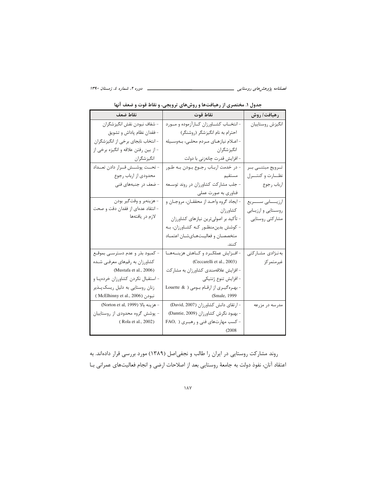\_\_\_\_ دوره ۲، شماره ٤، زمستان ۱۳۹۰

نقاط ضعف نقاط قوت رهيافت/ روش - شفاف نبودن نقش انگيزشگران - انتخــاب كشــاورزان كــارآزموده و مــورد انگيزش روستاييان - فقدان نظام ياداش و تشويق احترام به نام انگیزشگر (روشنگر) - انتخاب نابجای برخی از انگیزشگران - اعلام نیازهای مردم محلبی، بهوسیله - از بين رفتن علاقه و انگيزه برخي از انگیزشگران انگیزشگران - افزایش قدرت چانەزنى با دولت - در خدمت اربـاب رجـوع بـودن بـه طـور - تحــت پوشـــش قــرار دادن تعــداد تــرويج مبتنـــي بــر نظارت وكنتسرل محدودي از ارباب رجوع مستقيم - جلب مشارکت کشاورزان در روند توسـعه | -ضعف در جنبههای فنی ارباب رجوع فناوري به صورت عملي - هزينهبر و وقت<sup>و</sup>ير بودن - ايجاد گروه واحـد از محققــان، مروجــان و ارزيـــــابى ســـــريع - انتقاد عدهای از فقدان دقت و صحت كشاورزان روستايي وارزيابي لازم در يافتهها - تأکید بر اصولیترین نیازهای کشاورزان مشاركتي روستايي - کوشش بدین منظور که کشاورزان، به متخصصان وفعاليت هاى شان اعتماد كنند. – افــزايش عملكــرد و كــاهش هزينـــههــا | - كمبود بذر و عدم دسترســي بموقــع بەنىژادى مشاركتى کشاورزان به رقمهای معرفی شده (Ceccarelli et al., 2003) غيرمتمركز (Mustafa et al., 2006) - افزایش علاقهمندی کشاورزان به مشارکت - استقبال نكردن كشاورزان خردهيا و - افزايش تنوع ژنتيكي زنان روستایی به دلیل ریسک پذیر - بهرهگیری از ارقام بومی ( Louette & نبودن (McElhinny et al., 2006 ) (Smale, 1999) – هزينه بالا (Norton et al, 1999) - ارتقای دانش کشاورزان (David, 2007) مدرسه در مزرعه - پوشش گروه محدودی از روستاییان - بهبود نگرش كشاورزان (Damtie, 2009) (Rola et al., 2002) - کسب مهارتهای فنی و رهبری ( FAO,  $(2008)$ 

جدول ۱. مختصری از رهیافتها و روشهای ترویجی، و نقاط قوت و ضعف آنها

روند مشارکت روستایی در ایران را طالب و نجفیاصل (۱۳۸۹) مورد بررسی قرار دادهاند. به اعتقاد آنان، نفوذ دولت به جامعهٔ روستایی بعد از اصلاحات ارضی و انجام فعالیتهای عمرانی بـا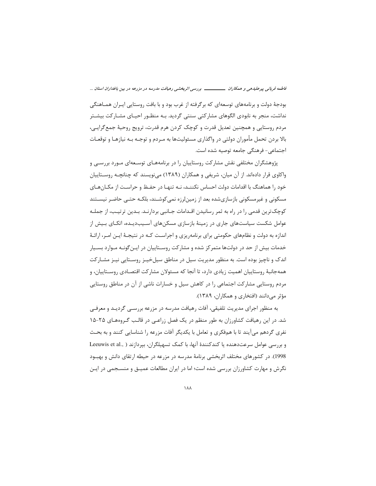### فاطمه قربانی پیرعلیدهی و همکاران ــــــــــــــــــ بررسی اثربخشی رهیافت مدرسه در مزرعه در بین باغداران استان ...

بودجهٔ دولت و برنامههای توسعهای که برگرفته از غرب بود و با بافت روستایی ایـران همـاهنگی نداشت، منجر به نابودی الگوهای مشارکتی سنتی گردید. بـه منظـور احیــای مشــارکت بیشــتر مردم روستايي و همچنين تعديل قدرت و كوچک كردن هرم قدرت، ترويج روحيهٔ جمع گرايـي، بالا بردن تحمل مأموران دولتي در واگذاري مسئوليتها به مـردم و توجـه بـه نيازهـا و توقعـات اجتماعی- فرهنگی جامعه توصیه شده است.

پژوهشگران مختلفی نقش مشارکت روستاییان را در برنامههـای توسـعهای مـورد بررسـی و واکاوی قرار دادهاند. از آن میان، شریفی و همکاران (۱۳۸۹) مینویسند که چنانچـه روسـتاییان خود را هماهنگ با اقدامات دولت احساس نکننـد، نـه تنهـا در حفـظ و حراسـت از مکـانهـای مسکونی و غیرمسکونی بازسازیشده بعد از زمین لرزه نمی کوشـند، بلکـه حتـی حاضـر نیسـتند کوچک ترین قدمی را در راه به ثمر رسانیدن اقـدامات جـانبی بردارنـد. بـدین ترتیـب، از جملـه عوامل شکست سیاستهای جاری در زمینهٔ بازسازی مسکنهای آسـیبدیـده، اتکـای بـیش از اندازه به دولت و نظامهای حکومتی برای برنامهریزی و اجراسـت کـه در نتیجـهٔ ایـن امـر، ارائـهٔ خدمات بیش از حد در دولتها متمرکز شده و مشارکت روسـتاییان در ایـن گونـه مـوارد بسـیار اندک و ناچیز بوده است. به منظور مدیریت سیل در مناطق سیل خیـز روسـتایی نیـز مشـارکت همهجانبهٔ روستاییان اهمیت زیادی دارد، تا آنجا که مسئولان مشارکت اقتصـادی روسـتاییان، و مردم روستایی مشارکت اجتماعی را در کاهش سیل و خسارات ناشی از آن در مناطق روستایی مؤثر میدانند (افتخاری و همکاران، ۱۳۸۹).

به منظور اجرای مدیریت تلفیقی، آفات رهیافت مدرسه در مزرعه بررسـی گردیـد و معرفـی شد. در این رهیافت کشاورزان به طور منظم در یک فصل زراعی در قالب گروههای ۲۵-۱۵ نفری گردهم می آیند تا با همفکری و تعامل با یکدیگر آفات مزرعه را شناسایی کنند و به بحـث و بررسی عوامل سرعت دهنده یا کندکنندهٔ آنها، با کمک تسهیلگران، بیردازند ( ,Leeuwis et al 1998). در کشورهای مختلف اثربخشی برنامهٔ مدرسه در مزرعه در حیطه ارتقای دانش و بهبود نگرش و مهارت کشاورزان بررسی شده است؛ اما در ایران مطالعات عمیـق و منسـجمی در ایـن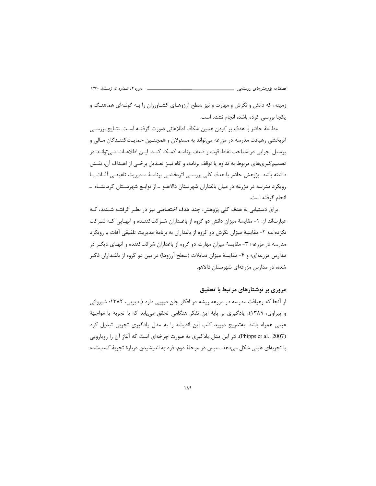زمینه، که دانش و نگرش و مهارت و نیز سطح آرزوهـای کشـاورزان را بـه گونـهای هماهنـگ و یکجا بررسی کرده باشد، انجام نشده است.

مطالعهٔ حاضر با هدف پر کردن همین شکاف اطلاعاتی صورت گرفتـه اسـت. نتـایج بررسـی اثربخشی رهیافت مدرسه در مزرعه می تواند به مسئولان و همچنـین حمایـتکننـدگان مـالی و پرسنل اجرایی در شناخت نقاط قوت و ضعف برنامــه کمــک کنــد. ایــن اطلاعــات مــی توانــد در تصميم گيري هاي مربوط به تداوم يا توقف برنامه، و گاه نيـز تعـديل برخــي از اهـداف آن، نقــش داشته باشد. پژوهش حاضر با هدف کلی بررسے اثربخشے برنامـهٔ مـدیریت تلفیقـی آفـات بـا رویکرد مدرسه در مزرعه در میان باغداران شهرستان دالاهـو ـ از توابـع شهرسـتان کرمانشـاه ــ انجام گرفته است.

برای دستیابی به هدف کلی پژوهش، چند هدف اختصاصی نیز در نظـر گرفتـه شـدند، کـه عبارتاند از: ١- مقايسهٔ ميزان دانش دو گروه از باغـداران شـركتكننـده و آنهـايي كـه شـركت نکردهاند؛ ۲- مقایسهٔ میزان نگرش دو گروه از باغداران به برنامهٔ مدیریت تلفیقی آفات با رویکرد مدرسه در مزرعه؛ ۳- مقایسهٔ میزان مهارت دو گروه از باغداران شرکتکننده و آنهـای دیگـر در مدارس مزرعهای؛ و ۴- مقایسهٔ میزان تمایلات (سطح آرزوها) در بین دو گروه از باغـداران ذکـر شده، در مدارس مزرعهای شهرستان دالاهو.

## مروری بر نوشتارهای مرتبط با تحقیق

از آنجا که رهیافت مدرسه در مزرعه ریشه در افکار جان دیویی دارد ( دیویی، ۱۳۸۲؛ شیروانی و پیراوی، ۱۳۸۹)، یادگیری بر پایهٔ این تفکر هنگامی تحقق می یابد که با تجربه یا مواجههٔ عینی همراه باشد. بهتدریج دیوید کلب این اندیشه را به مدل یادگیری تجربی تبدیل کرد (Phipps et al., 2007). در این مدل یادگیری به صورت چرخهای است که آغاز آن را رویارویی با تجربهای عینی شکل می،دهد. سیس در مرحلهٔ دوم، فرد به اندیشیدن دربارهٔ تجربهٔ کسبشده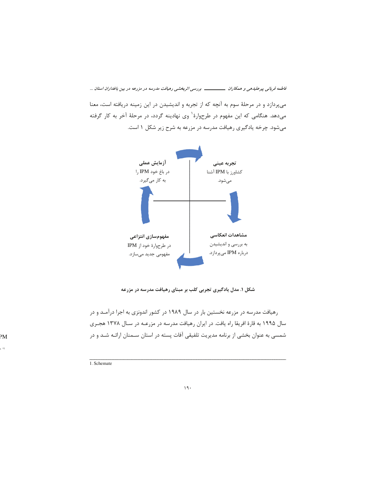قاطمه قربانی پیرعلیدهی و همکاران ــــــــــــــــ بررسی اثربخشی رهیافت مدرسه در مزرعه در بین باغداران استان ...

میپردازد و در مرحلهٔ سوم به آنچه که از تجربه و اندیشیدن در این زمینه دریافته است، معنا میدهد. هنگامی که این مفهوم در طرحوارهٔ ی ی نهادینه گردد، در مرحلهٔ آخر به کار گرفته میشود. چرخه یادگیری رهیافت مدرسه در مزرعه به شرح زیر شکل ۱ است.



شکل ۱. مدل یادگیری تجربی کلب بر مبنای رهیافت مدرسه در مزرعه

رهیافت مدرسه در مزرعه نخستین بار در سال ۱۹۸۹ در کشور اندونزی به اجرا درآمـد و در سال ۱۹۹۵ به قارهٔ افریقا راه یافت. در ایران رهیافت مدرسه در مزرعـه در سـال ۱۳۷۸ هجـری شمسی به عنوان بخشی از برنامه مدیریت تلفیقی آفات پسته در استان سـمنان ارائـه شـد و در

 $PM$ 

 $\ddot{ }$ 

1. Schemate

 $19.$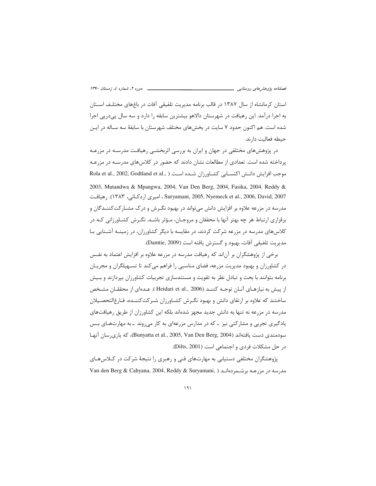فصلن*امه پژوهشهای روستا* 

استان کرمانشاه از سال ۱۳۸۷ در قالب برنامه مدیریت تلفیقی آفات در باغهای مختلـف اسـتان به اجرا درآمد. این رهیافت در شهرستان دالاهو بیشترین سابقه را دارد و سه سال پیدرپی اجرا شده است. هم اکنون حدود ۷ سایت در بخشهای مختلف شهرستان با سابقهٔ سه سـاله در ایــن حيطه فعاليت دارند.

در پژوهشهای مختلفی در جهان و ایران به بررسی اثربخشــی رهیافـت مدرسـه در مزرعـه پرداخته شده است. تعدادی از مطالعات نشان دادند که حضور در کلاسهای مدرسـه در مزرعـه موجب افزايش دانــش اكتســابي كشــاورزان شــده اســت ( ,Rola et al., 2002, Godtland et al 2003, Mutandwa & Mpangwa, 2004, Van Den Berg, 2004, Fasika, 2004. Reddy & Suryamani, 2005, Nyemeck et al., 2006, David, 2007 ، امیری اردکـانی، ۱۳۸۳). رهیافت مدرسه در مزرعه علاوه بر افزایش دانش میتواند در بهبود نگـرش و درک مشــارکتکننــدگان و برقراری ارتباط هر چه بهتر آنها با محققان و مروجـان، مـؤثر باشـد. نگـرش کشـاورزانی کـه در کلاسهای مدرسه در مزرعه شرکت کردند، در مقایسه با دیگر کشاورزان، در زمینــه آشــنایی بــا مديريت تلفيقي آفات، بهبود و گسترش يافته است (Damtie, 2009).

برخی از پژوهشگران بر آناند که رهیافت مدرسه در مزرعه علاوه بر افزایش اعتماد به نفـس در کشاورزان و بهبود مدیریت مزرعه، فضای مناسبی را فراهم میکند تا تسـهیلگران و مجریـان برنامه بتوانند با بحث و تبادل نظر به تقويت و مستندسازى تجربيات كشاورزان بپردازند و بـيش از پیش به نیازهـای آنـان توجـه کننـد (Heidari et al., 2006 ). عـدهای از محققـان مشـخص ساختند که علاوه بر ارتقای دانش و بهبود نگـرش کشـاورزان شـرکتکننــده، فـارغالتحصـيلان مدرسه در مزرعه نه تنها به دانش جدید مجهز شدهاند بلکه این کشاورزان از طریق رهیافتهای یادگیری تجربی و مشارکتی نیز ــ که در مدارس مزرعهای به کار میروند ــ به مهارتهـای بـس سودمندي دست يافتهاند (Bunyatta et al., 2005, Van Den Berg, 2004)، كه يارىرسان آنهـا در حل مشكلات فردي و اجتماعي است (Dilts, 2001).

پژوهشگران مختلفی دستیابی به مهارتهای فنی و رهبری را نتیجهٔ شرکت در کـلاسهـای مدرسه در مزرعــه برشــمردهانــد ( Van den Berg & Cahyana, 2004, Reddy & Suryamani, )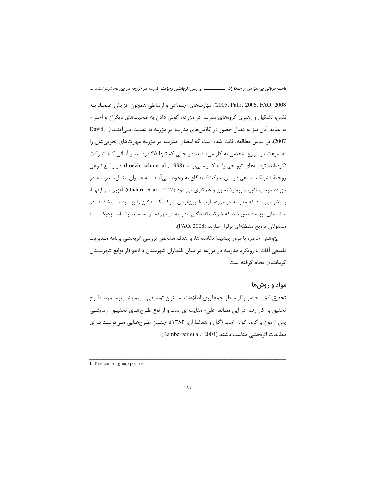**%%% -^-\$ "\$- 8(-(!-"`\$@\$ -"\* "9-\$?N-**

2005, Palis, 2006, FAO, 2008). مهارتهاى اجتماعي و ارتباطي همچون افزايش اعتمــاد بــه نفس، تشکیل و رهبری گروههای مدرسه در مزرعه، گوش دادن به صحبتهای دیگران و احترام به عقايد آنان نيز به دنبال حضور در كلاسهاى مدرسه در مزرعه به دست مــىآينــد ( David, 2007). بر اساس مطالعه، ثابت شده است كه اعضاى مدرسه در مزرعه مهارتهاى تجربى شان را به سرعت در مزارع شخصی به کار میبندند، در حالی که تنها ۳۵ درصد از آنـانی کـه شـرکت نکردهاند، توصیههای ترویجی را به کـار مـیبرنـد (Loevin sohn et al., 1998). در واقــع نــوعی روحیهٔ تشریک مساعی در بین شرکتکنندگان به وجود مـیآیـد. بـه عنـوان مثـال، مدرسـه در مزرعه موجب تقويت روحيهٔ تعاون و همكارى مىشود (Onduru et al., 2002). افزون بـر اينهـا، به نظر میرسد که مدرسه در مزرعه ارتباط بینفردی شرکتکننـدگان را بهبـود مـیبخشـد. در مطالعهای نیز مشخص شد که شرکتکنندگان مدرسه در مزرعه توانستهاند ارتبـاط نزدیکـی بـا مسئولان ترويج منطقهاي برقرار سازند (FAO, 2008).

پژوهش حاضر، با مرور پیشینهٔ نگاشتهها، با هدف مشخص بررسی اثربخشی برنامهٔ مـدیریت تلفيقي آفات با رويكرد مدرسه در مزرعه در ميان باغداران شهرستان دالاهو (از توابع شهرسـتان كرمانشاه) انجام گرفته است.

## مواد و روشها

تحقیق کمّی حاضر را از منظر جمعآوری اطلاعات، میتوان توصیفی ـ پیمایشی برشـمرد. طـرح تحقیق به کار رفته در این مطالعه علّی- مقایسهای است و از نوع طـرحهـای تحقیــق آزمایشــی پس آزمون با گروه گواه<sup>'</sup> است (گال و همکـاران، ۱۳۸۳)، چنــین طـرحهـایی مـی¤واننــد بـرای مطالعات اثربخشي مناسب باشند (Bamberger et al., 2004).

1. True control group post-test

-[1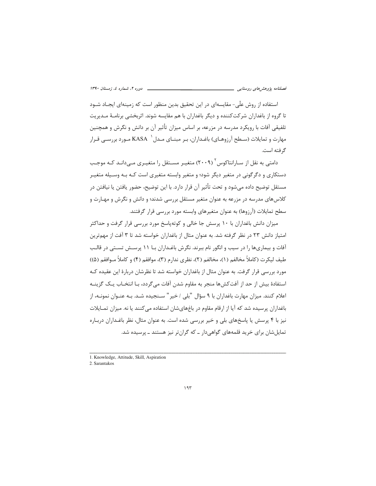استفاده از روش علّی- مقایسهای در این تحقیق بدین منظور است که زمینهای ایجـاد شــود تا گروه از باغداران شرکتکننده و دیگر باغداران با هم مقایسه شوند. اثربخشی برنامـهٔ مـدیریت تلفیقی آفات با رویکرد مدرسه در مزرعه، بر اساس میزان تأثیر آن بر دانش و نگرش و همچنین مهارت و تمایلات (سـطح آرزوهـای) باغـداران، بـر مبنـای مـدل ` KASA مـورد بررسـی قـرار گر فته است.

دامتے ، به نقل از سیارانتاکوس <sup>۲</sup> (۲۰۰۹) متغییر مسیتقل را متغییری م*یے د*انید کیه موجب دستکاری و دگرگونی در متغیر دیگر شود؛ و متغیر وابسته متغیری است کـه بـه وسـیله متغیـر مستقل توضیح داده می شود و تحت تأثیر آن قرار دارد. با این توضیح، حضور یافتن یا نیافتن در کلاسهای مدرسه در مزرعه به عنوان متغیر مستقل بررسی شدند؛ و دانش و نگرش و مهـارت و سطح تمایلات (آرزوها) به عنوان متغیرهای وابسته مورد بررسی قرار گرفتند.

میزان دانش باغداران با ۱۰ پرسش جا خالی و کوتهپاسخ مورد بررسی قرار گرفت و حداکثر امتیاز دانش ۲۳ در نظر گرفته شد. به عنوان مثال از باغداران خواسته شد تا ۳ آفت از مهم ترین آفات و بیماریها را در سیب و انگور نام ببرند. نگرش باغـداران بـا ۱۱ پرســش تســتی در قالـب طيف ليكرت (كاملاً مخالفم (١)، مخالفم (٢)، نظري ندارم (٣)، موافقم (۴) و كاملاً مــوافقم (۵)) مورد بررسی قرار گرفت. به عنوان مثال از باغداران خواسته شد تا نظرشان دربارهٔ این عقیده کـه استفادهٔ بیش از حد از آفتکش ها منجر به مقاوم شدن آفات می گردد، بـا انتخـاب یـک گزینــه اعلام كنند. ميزان مهارت باغداران با ٩ سؤال "بلي / خير" سـنجيده شـد. بـه عنـوان نمونـه، از باغداران پرسیده شد که آیا از ارقام مقاوم در باغهایشان استفاده می کنند یا نه. میزان تمـایلات نیز با ۴ پرسش یا پاسخهای بلی و خیر بررسی شده است. به عنوان مثال، نظر باغـداران دربـاره تمایل شان برای خرید قلمههای گواهی دار ـ که گران تر نیز هستند ـ پرسیده شد.

<sup>1.</sup> Knowledge, Attitude, Skill, Aspiration

<sup>2.</sup> Sarantakos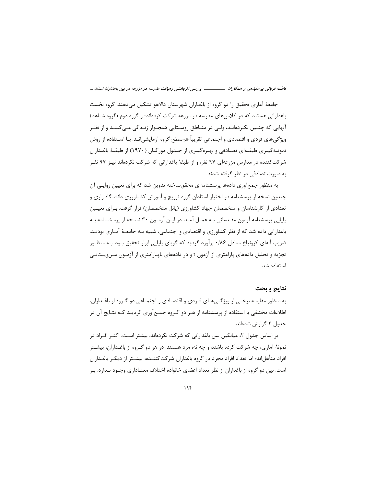فاطمه قربانی پیرعلیدهی و همکاران ــــــــــــــــــ بررسی اثربخشی رهیافت مدرسه در مزرعه در بین باغداران استان ...

جامعهٔ آماری تحقیق را دو گروه از باغداران شهرستان دالاهو تشکیل میدهند. گروه نخست باغدارانی هستند که در کلاس های مدرسه در مزرعه شرکت کردهاند؛ و گروه دوم (گروه شـاهد) آنهایی که چنـین نکـردهانـد، ولـی در منـاطق روسـتایی همجـوار زنـدگی مـیکننـد و از نظـر ویژگیهای فردی و اقتصادی و اجتماعی تقریباً همسطح گروه آزمایشی|نـد. بـا اســتفاده از روش نمونـهگیـری طبقـهای تصـادفی و بهـرهگیـری از جـدول مورگـان (١٩٧٠) از طبقـهٔ باغـداران شرکتکننده در مدارس مزرعهای ۹۷ نفر، و از طبقهٔ باغدارانی که شرکت نکردهاند نیـز ۹۷ نفـر به صورت تصادفی در نظر گرفته شدند.

به منظور جمعآوری دادهها پرسشنامهای محققساخته تدوین شد که برای تعیین روایی آن چندین نسخه از پرسشنامه در اختیار استادان گروه ترویج و آموزش کشـاورزی دانشـگاه رازی و تعدادی از کارشناسان و متخصصان جهاد کشاورزی (پانل متخصصان) قرار گرفت. بـرای تعیـین پایایی پرسشنامه آزمون مقـدماتی بـه عمـل آمـد. در ایـن آزمـون ۳۰ نسـخه از پرسشـنامه بـه باغدارانی داده شد که از نظر کشاورزی و اقتصادی و اجتماعی، شبیه بـه جامعـهٔ آمـاری بودنـد. ضریب آلفای کرونباخ معادل ۱۸۶ برآورد گردید که گویای پایایی ابزار تحقیق بـود. بـه منظـور تجزیه و تحلیل دادههای پارامتری از آزمون t و در دادههای ناپـارامتری از آزمـون مـنویـتـنـی استفاده شد.

## نتايج و بحث

به منظور مقایسه برخـی از ویژگـی۵حـای فـردی و اقتصـادی و اجـتمـاعی دو گـروه از باغـداران، اطلاعات مختلفی با استفاده از پرسشنامه از هـر دو گـروه جمـعآوری گردیـد کـه نتـایج آن در جدول ۲ گزارش شدهاند.

بر اساس جدول ۲، میانگین سن باغدارانی که شرکت نکردهاند، بیشتر است. اکثـر افـراد در نمونهٔ آماری، چه شرکت کرده باشند و چه نه، مرد هستند. در هر دو گـروه از باغـداران، بیشـتر افراد متأهلاند؛ اما تعداد افراد مجرد در گروه باغداران شرکتکننــده، بیشــتر از دیگـر باغــداران است. بین دو گروه از باغداران از نظر تعداد اعضای خانواده اختلاف معنــاداری وجــود نــدارد. بــر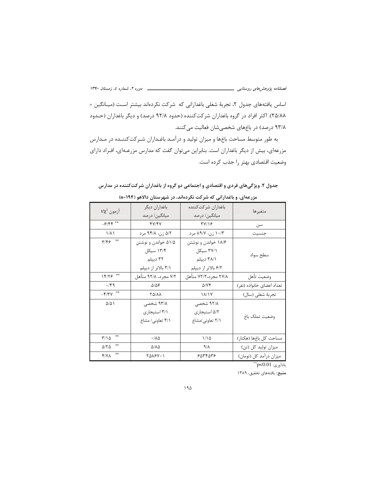اساس یافتههای جدول ۲، تجربهٔ شغلی باغدارانی که شرکت نکردهاند بیشتر است (میـانگین = ۲۵/۸۸). اکثر افراد در گروه باغداران شرکتکننده (حدود ۹۲/۸ درصد) و دیگر باغداران (حـدود ۹۳/۸ درصد) در باغهای شخصیشان فعالیت میکنند.

به طور متوسط مساحت باغها و میزان تولید و درآمـد باغـداران شـرکتکننـده در مـدارس مزرعهای، بیش از دیگر باغداران است. بنابراین میتوان گفت که مدارس مزرعـهای، افـراد دارای وضعیت اقتصادی بهتر را جذب کرده است.

| مزرعهای، و باغدارانی که شرکت نکردهاند، در شهرستان دالاهو (۱۹۴=n) |                        |                      |                           |  |  |  |  |  |
|------------------------------------------------------------------|------------------------|----------------------|---------------------------|--|--|--|--|--|
| $t/\chi^2$ آزمون                                                 | باغداران ديگر          | باغداران شركت كننده  | متغيرها                   |  |  |  |  |  |
|                                                                  | میانگین/ درصد          | میانگین/ درصد        |                           |  |  |  |  |  |
| $-9/99$                                                          | 47/14                  | <b>TY/18</b>         | سن                        |  |  |  |  |  |
| $1/\lambda$                                                      | ۵/۲ زن، ۹۴/۸ مرد       | ۱۰/۳ زن، ۸۹/۷ مرد    | جنسيت                     |  |  |  |  |  |
| $\mathbf{r}/\mathbf{r}$ $\epsilon$ $\mathbf{r}$                  | ۵۱/۵ خواندن و نوشتن    | ۱۸/۶ خواندن و نوشتن  |                           |  |  |  |  |  |
|                                                                  | ۱۳/۴ سیکل              | ۳۷/۱ سیکل            |                           |  |  |  |  |  |
|                                                                  | ۳۲ دیپلم               | ۳۸/۱ دیپلم           | سطح سواد                  |  |  |  |  |  |
|                                                                  | ۳/۱ بالاتر از دیپلم    | ۶/۲ بالاتر از ديپلم  |                           |  |  |  |  |  |
| 15/75                                                            | ۷/۲ مجرد، ۹۲/۸ متأهل   | ۲۷/۸ مجرد،۷۲/۲ متأهل | وضعيت تأهل                |  |  |  |  |  |
| .149                                                             | $\Delta/\Delta$ ۶      | $\Delta$ / $Y$ ۴     | تعداد اعضاى خانواده (نفر) |  |  |  |  |  |
| $-\mathbf{y}/\mathbf{x}$                                         | <b>YA/AA</b>           | <b><i>M/Y</i></b>    | تجربهٔ شغلی (سال)         |  |  |  |  |  |
| $\Delta/\Delta$                                                  | ۹۳/۸ شخصی              | ۹۲/۸ شخصی            |                           |  |  |  |  |  |
|                                                                  | ۲/۱ استیجاری           | ۵/۲ استیجاری         |                           |  |  |  |  |  |
|                                                                  | ٣/١ تعاوني/ مشاع       | ٢/١ تعاوني/مشاع      | وضعيت تملك باغ            |  |  |  |  |  |
|                                                                  |                        |                      |                           |  |  |  |  |  |
| 崇崇<br>$T/\Omega$                                                 | ۰/۸۵                   | ۱۱۵                  | مساحت كل باغها (هكتار)    |  |  |  |  |  |
| 崇崇<br>$\Delta$ /٢ $\Delta$                                       | $\Delta/\Lambda\Delta$ | $9/\lambda$          | میزان تولید کل (تن)       |  |  |  |  |  |
| 崇崇<br>Y/Y                                                        | <b>TAASY</b> . 1       | 8054058              | میزان درآمد کل (تومان)    |  |  |  |  |  |

جدول ۲. ویژگیهای فردی و اقتصادی و اجتماعی دو گروه از باغداران شرکتکننده در مدارس

ياداًوري: p<0.01\*\*

منبع: يافتههاي تحقيق، ١٣٨٩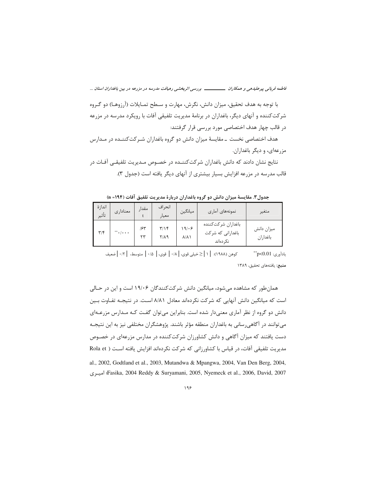فاطمه قربانی پیرعلیدهی و همکاران ـــــــــــــــــ بررسی اثربخشی رهیافت مدرسه در مزرعه در بین باغداران استان ...

با توجه به هدف تحقیق، میزان دانش، نگرش، مهارت و سـطح تمـایلات (آرزوهـا) دو گـروه شرکتکننده و آنهای دیگر، باغداران در برنامهٔ مدیریت تلفیقی آفات با رویکرد مدرسه در مزرعه در قالب چهار هدف اختصاصی مورد بررسی قرار گرفتند:

هدف اختصاصی نخست ــ مقایسهٔ میزان دانش دو گروه باغداران شـرکتکننــده در مــدارس مزرعهای، و دیگر باغداران.

نتايج نشان دادند كه دانش باغداران شركتكننـده در خصـوص مـديريت تلفيقـي آفـات در قالب مدرسه در مزرعه افزایش بسیار بیشتری از آنهای دیگر یافته است (جدول ۳).

جدول٣. مقايسة ميزان دانش دو گروه باغداران دربارة مديريت تلفيق آفات (١٩٤- n)

| انداز ۂ<br>تأثير        | معناداري                      | مقدا,     | انحر اف<br>معيار                | ميانگين               | نمونههای آماری                                      | متغير                  |
|-------------------------|-------------------------------|-----------|---------------------------------|-----------------------|-----------------------------------------------------|------------------------|
| $\mathbf{r}/\mathbf{r}$ | $\mathbf{L}$ . $\mathbf{L}$ . | ۱۶۳<br>۲۳ | $\mathbf{r}/\mathbf{r}$<br>۲/۸۹ | ۱۹۱۰۶<br><b>A/A \</b> | باغداران شركتكننده<br>باغدارانی که شرکت<br>نک دماند | ميزان دانش<br>باغداران |

كوهن (١٩٨٨): | ١ | ≤خيلي قوى، | ١٨ | قوى، | ١،٥ | متوسط، | ١٢ |ضعيف يادآوري: p<0.01" منبع: يافتههاي تحقيق، ١٣٨٩

همان طور که مشاهده می شود، میانگین دانش شرکت کنندگان ۱۹/۰۶ است و این در حـالی است که میانگین دانش آنهایی که شرکت نکردهاند معادل ۸/۸۱ است. در نتیجـه تفـاوت بـین دانش دو گروه از نظر آماری معنیدار شده است. بنابراین میتوان گفت کـه مـدارس مزرعـهای می توانند در آگاهی رسانی به باغداران منطقه مؤثر باشند. پژوهشگران مختلفی نیز به این نتیجـه دست یافتند که میزان آگاهی و دانش کشاورزان شرکتکننده در مدارس مزرعهای در خصـوص مدیریت تلفیقی آفات، در قیاس با کشاورزانی که شرکت نکردهاند افزایش یافته اسـت ( Rola et al., 2002, Godtland et al., 2003, Mutandwa & Mpangwa, 2004, Van Den Berg, 2004, Easika, 2004 Reddy & Suryamani, 2005, Nyemeck et al., 2006, David, 2007؛ Fasika, 2004؛ اميرى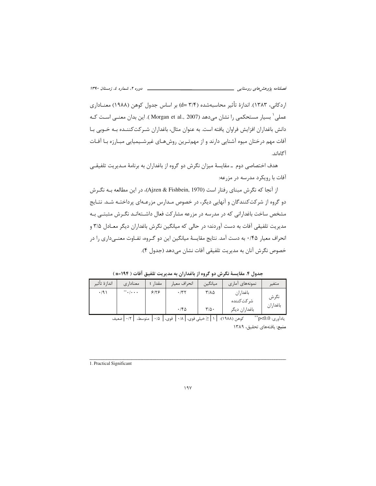اردكاني، ١٣٨٣). اندازهٔ تأثير محاسبهشده (٣/۴ =d) بر اساس جدول كوهن (١٩٨٨) معنــاداري عملي' بسيار مستحكمي را نشان مي٥هد (Morgan et al., 2007 ). اين بدان معنــي اســت كــه دانش باغداران افزایش فراوان یافته است. به عنوان مثال، باغداران شـرکت کننــده بــه خــوبی بــا آفات مهم درختان میوه آشنایی دارند و از مهمترین روشهـای غیرشـیمیایی مبـارزه بـا آفـات آگاهاند.

هدف اختصاصی دوم \_ مقایسهٔ میزان نگرش دو گروه از باغداران به برنامهٔ مـدیریت تلفیقـی آفات با رویکرد مدرسه در مزرعه:

از آنجا که نگرش مبنای رفتار است (Ajzen & Fishbein, 1970)، در این مطالعه بـه نگـرش دو گروه از شرکتکنندگان و آنهایی دیگر، در خصوص مـدارس مزرعـهای پرداختـه شـد. نتـایج مشخص ساخت باغدارانی که در مدرسه در مزرعه مشارکت فعال داشـتهانـد نگـرش مثبتـی بـه مديريت تلفيقي آفات به دست آوردند؛ در حالي كه ميانگين نگرش باغداران ديگر معـادل ٣/۵ و انحراف معیار ۱۴۵۰ به دست آمد. نتایج مقایسهٔ میانگین این دو گـروه، تفـاوت معنــی(اری را در خصوص نگرش آنان به مديريت تلفيقي آفات نشان مي دهد (جدول ۴).

جدول ۴. مقایسهٔ نگرش دو گروه از باغداران به مدیریت تلفیق آفات ( n=۱۹۴)

| اندازهٔ تأثير | معناداری    | مقدا <sub>د</sub> t | انحراف معيار | ميانگين                   | نمونههای آماری | متغير    |
|---------------|-------------|---------------------|--------------|---------------------------|----------------|----------|
| $\cdot$ /9)   | $***$ . $/$ | ۶۱۲۶                | .77          | $Y/\lambda \Delta$        | باغداران       | نگرش     |
|               |             |                     | .180         | $\mathbf{r}/\mathbf{r}$ . | شر کت کننده    | باغداران |
|               |             |                     |              |                           | باغداران ديگر  |          |

يادآوري: p<0.0\*\* كوهن (١٩٨٨): | ١ |≤خيلي قوى، | ٠١٨ | قوى، | ٠١۵ | متوسط، | ٠١٢ |ضعيف منبع: يافتههاى تحقيق، ١٣٨٩

1. Practical Significant

 $19V$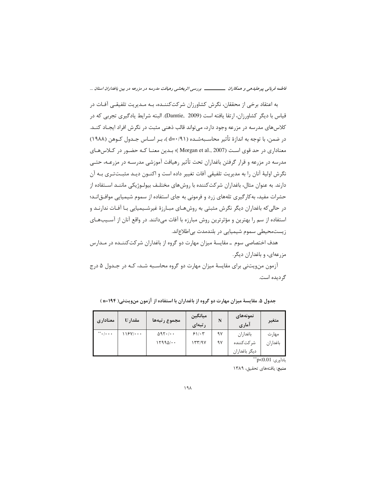فاطمه قربانی پیرعلیدهی و همکاران ــــــــــــــــــ بررسی اثربخشی رهیافت مدرسه در مزرعه در بین باغداران استان ...

به اعتقاد برخی از محققان، نگرش کشاورزان شرکتکننـده، بـه مـدیریت تلفیقـی آفـات در قياس با ديگر كشاورزان، ارتقا يافته است (Damtie, 2009). البته شرايط يادگيري تجربي كه در کلاس های مدرسه در مزرعه وجود دارد، می¤واند قالب ذهنی مثبت در نگرش افراد ایجـاد کنــد. در ضمن، با توجه به اندازهٔ تأثیر محاسـبهشـده ( d=٠/٩١ )، بـر اسـاس جـدول کـوهن (١٩٨٨) معناداری در حد قوی است (Morgan et al., 2007)؛ بدین معنـا کـه حضـور در کـلاس&ای مدرسه در مزرعه و قرار گرفتن باغداران تحت تأثیر رهیافت آموزشی مدرسـه در مزرعـه، حتـی نگرش اوليهٔ آنان را به مديريت تلفيقي آفات تغيير داده است و اكنــون ديــد مثبــتتــرى بــه آن دارند. به عنوان مثال، باغداران شرکتکننده با روشهای مختلـف بیولـوژیکی ماننـد اسـتفاده از حشرات مفید، به کار گیری تلههای زرد و فرمونی به جای استفاده از سموم شیمیایی موافـق|نــد؛ در حالی که باغداران دیگر نگرش مثبتی به روشهـای مبـارزهٔ غیرشـیمیایی بـا آفـات ندارنـد و استفاده از سم را بهترین و مؤثرترین روش مبارزه با آفات میدانند. در واقع آنان از آسـیبهـای زیستمحیطی سموم شیمیایی در بلندمدت بی اطلاع اند.

هدف اختصاصی سوم \_ مقايسهٔ ميزان مهارت دو گروه از باغداران شركتكننـده در مـدارس مزرعهای، و باغداران دیگر.

آزمون من ویتنی برای مقایسهٔ میزان مهارت دو گروه محاسـبه شـد، کـه در جـدول ۵ درج گرديده است.

| جدول ۵. مقایسهٔ میزان مهارت دو گروه از باغداران با استفاده از آزمون منویتنی( ۱۹۴=n) |  |  |  |  |  |  |
|-------------------------------------------------------------------------------------|--|--|--|--|--|--|
|-------------------------------------------------------------------------------------|--|--|--|--|--|--|

| معناداري | مقدار U | مجموع رتبهها  | ميانگين<br>ر تبهای | N  | نمونەھاي<br>آماری | متغير    |
|----------|---------|---------------|--------------------|----|-------------------|----------|
| $\cdots$ | 119Y/   | $\Delta$ 97./ | 81.5               | ۹۷ | باغداران          | مهار ت   |
|          |         | $17990/$      | ۱۳۳/۹۷             | ۹۷ | شر کت کننده       | باغداران |
|          |         |               |                    |    | ديگر باغداران     |          |

ياداًوري: p<0.01"

منبع: يافتههاى تحقيق، ١٣٨٩

 $19<sub>A</sub>$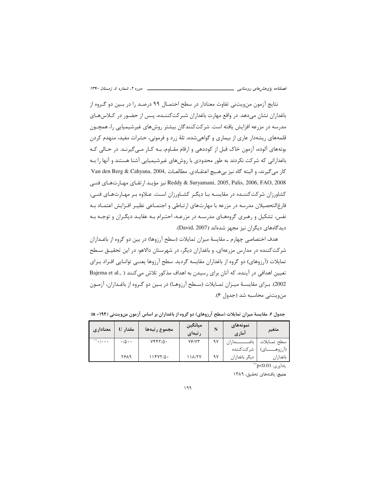نتايج آزمون منويتني تفاوت معنادار در سطح احتمــال ۹۹ درصــد را در بــين دو گــروه از باغداران نشان مىدهد. در واقع مهارت باغداران شـركتكننــده، پـس از حضـور در كـلاس۱عاى مدرسه در مزرعه افزایش یافته است. شرکتکنندگان بیشتر روشهای غیرشیمیایی را، همچــون قلمههای ریشهدار عاری از بیماری و گواهیشده، تلهٔ زرد و فرمونی، حشرات مفید، منهدم کردن بوتههای آلوده، آزمون خاک قبل از کوددهی و ارقام مقـاوم، بـه کـار مـی۶گیرنـد. در حـالی کـه باغدارانی که شرکت نکردند به طور محدودی با روشهای غیرشیمیایی آشنا هستند و آنها را بـه Van den Berg & Cahyana, 2004, حاعتقادى. مطالعات Van den Berg & Cahyana, 2004, حي گيرند، و البته كاه نيز بي هيچ -:&-:@-B:0-:G
-:v- Reddy & Suryamani, 2005, Palis, 2006, FAO, 2008 كشاورزان شركتكننـده در مقايسـه بـا ديگـر كشـاورزان اسـت. عـلاوه بـر مهـارتهـاى فنـى، فارغالتحصيلان مدرسه در مزرعه با مهارتهاى ارتباطي و اجتمـاعي نظيـر افـزايش اعتمـاد بـه نفس، تشکیل و رهبری گروههای مدرسـه در مزرعـه، احتـرام بـه عقایـد دیگـران و توجـه بـه دیدگاههای دیگران نیز مجهز شدهاند (David, 2007).

هدف اختصاصي چهارم ــ مقايسهٔ ميزان تمايلات (سطح آرزوها) در بين دو گروه از باغـداران شرکت کننده در مدارس مزرعهای، و باغداران دیگر، در شهرستان دالاهو: در این تحقیــق ســطح تمايلات (آرزوهاى) دو گروه از باغداران مقايسه گرديد. سطح آرزوها يعنــى توانـايى افـراد بـراى تعيين اهدافي در آينده، كه آنان براي رسيدن به اهداف مذكور تلاش ميكنند ( ,Bajema et al 2002). بـراي مقايسـهٔ ميـزان تمـايلات (سـطح آرزوهـا) در بـين دو گـروه از باغـداران، آزمـون من ويتني محاسبه شد (جدول ۶).

| معناداري | مقدار U                    | مجموع رتبهها     | ميانگين<br>ر تبهای | N  | نمونههای<br>آماري | متغير         |
|----------|----------------------------|------------------|--------------------|----|-------------------|---------------|
| $\cdots$ | $\cdot/\Delta \cdot \cdot$ | $Vfff/ \Delta$ . | $Y$ ۶/۷۳           | ۹۷ | $\mathbf{r}$      | سطح تمــايلات |
|          |                            |                  |                    |    | شر کت کننده       | (ارزوه        |
|          | 8889                       | ۱۱۴۷۲/۵۰         | 118/77             | ۹۷ | دیگر باغداران     | باغداران      |

جدول ۶. مقایسهٔ میزان تمایلات (سطح آرزوهای) دو گروه از باغداران بر اساس آزمون منویتنی (۱۹۴= n)

يادآوري: <sub>P</sub><0.01\*\*

**منبع**: يافتههاى تحقيق، ١٣٨٩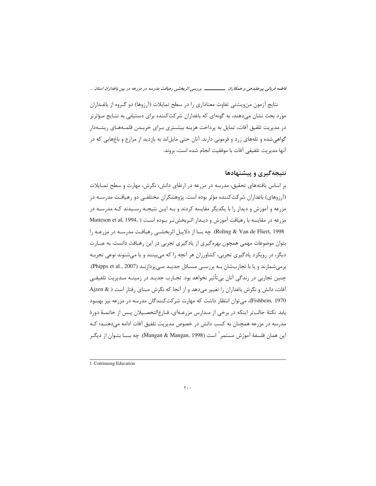**%%% -^-\$ "\$- 8(-(!-"`\$@\$ -"\* "9-\$?N-**

نتايج آزمون منويتني تفاوت معناداري را در سطح تمايلات (آرزوها) دو گـروه از باغـداران مورد بحث نشان میدهند، به گونهای که باغداران شرکتکننده برای دستیابی به نتـایج مـؤثرتر در مدیریت تلفیق آفات، تمایل به پرداخت هزینه بیشـتری بـرای خریـدن قلمـههـای ریشـهدار گواهیشده و تلههای زرد و فرمونی دارند. آنان حتی مایلاند به بازدید از مزارع و باغهایی که در آنها مديريت تلفيقي آفات با موفقيت انجام شده است، بروند.

## نتیجهگیری و پیشنهادها

بر اساس یافتههای تحقیق، مدرسه در مزرعه در ارتقای دانش، نگرش، مهارت و سطح تمــایلات (آرزوهای) باغداران شرکتکننده مؤثر بوده است. پژوهشگران مختلفـی دو رهیافـت مدرسـه در مزرعه و آموزش و ديدار را با يكديگر مقايسه كردند و بـه ايـن نتيجـه رسـيدند كـه مدرسـه در مزرعه در مقايسه با رهيافت آموزش و ديــدار اثـربخشتـر بـوده اســت ( .Matteson et al, 1994 Roling & Van de Fliert, 1998). چه بسا از دلایـل اثربخشـی رهیافـت مدرسـه در مزرعـه را بتوان موضوعات مهمی همچون بهرهگیری از یادگیری تجربی در این رهیافت دانست. به عبــارت دیگر، در رویکرد یادگیری تجربی، کشاورزان هر آنچه را که میبینند و یا میشنوند نوعی تجربـه برمیشمارند و یا با تجاربشان بـه بررسـی مسـائل جدیـد مـیپردازنـد (Phipps et al., 2007). چنین تجاربی در زندگی آنان بیتأثیر نخواهد بود. تجـارب جدیـد در زمینــه مـدیریت تلفیقــی آفات، دانش و نگرش باغداران را تغییر میدهد و از آنجا که نگرش مبنای رفتار است ( & Ajzen Fishbein, 1970)، میتوان انتظار داشت که مهارت شرکتکنندگان مدرسه در مزرعه نیز بهبود يابد. نكتهٔ جالبتر اينكه در برخي از مـدارس مزرعـهاي، فـارغ|لتحصـيلان پـس از خاتمـهٔ دورهٔ مدرسه در مزرعه همچنان به کسب دانش در خصوص مدیریت تلفیق آفات ادامه میدهنــد؛ کــه اين همان فلسفهٔ آموزش مستمر<sup>י</sup> است (Mangan & Mangan, 1998). چه بســا بتــوان از ديگــر  $\overline{\phantom{a}}$ 

<sup>1</sup>> Continuing Education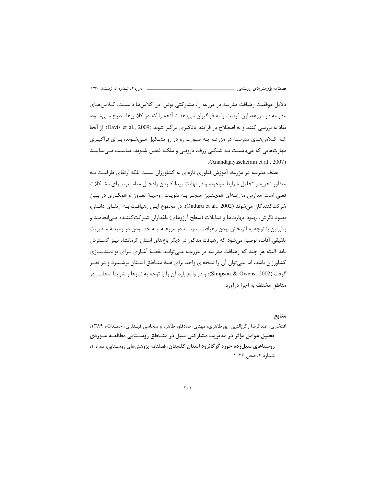دلایل موفقیت رهیافت مدرسه در مزرعه را، مشارکتی بودن این کلاسها دانست. کـلاسهـای مدرسه در مزرعه، این فرصت را به فراگیران میدهد تا آنچه را که در کلاسها مطرح مـیشـود، نقادانه بررسی کنند و به اصطلاح در فرایند یادگیری درگیر شوند (Davis et al., 2009). از آنجا کـه کـلاسهـای مدرسـه در مزرعـه بـه صـورت رو در رو تشـکیل مـیشـوند، بـرای فراگیـری مهارتهایی که میبایست بـه شـکلی ژرف، درونـی و ملکـه ذهـن شـوند، مناسـب مـینماینـد .(Anandajayasekeram et al., 2007)

هدف مدرسه در مزرعه، آموزش فناوری تازهای به کشاورزان نیست بلکه ارتقای ظرفیـت بـه منظور تجزیه و تحلیل شرایط موجود، و در نهایت پیدا کـردن راهحـل مناسـب بـرای مشـکلات فعلی است. مدارس مزرعـهای همچنـین منجـر بـه تقویـت روحیـهٔ تعـاون و همکـاری در بـین شركت كنندگان مي شوند (Onduru et al., 2002). در مجموع ايـن رهيافـت بـه ارتقـاي دانـش، بهبود نگرش، بهبود مهارتها و تمایلات (سطح آرزوهای) باغداران شـر کت کننــده مــی|نجامــد و بنابراین با توجه به اثربخش بودن رهیافت مدرسـه در مزرعـه، بـه خصـوص در زمینـهٔ مـدیریت تلفیقی آفات، توصیه می شود که رهیافت مذکور در دیگر باغهای استان کرمانشاه نیـز گســترش یابد. البته هر چند که رهیافت مدرسه در مزرعـه مـیتوانـد نقطـهٔ آغـازی بـرای توانمندسـازی کشاورزان باشد، اما نمی توان آن را نسخهای واحد برای همهٔ منـاطق اسـتان برشـمرد و در نظـر گرفت (Simpson & Owens, 2002)؛ و در واقع باید آن را با توجه به نیازها و شرایط محلبی در مناطق مختلف به اجرا درآورد.

## منابع

افتخاري، عبدالرضا ركن|لدين، پورطاهري، مهدي، صادقلو، طاهره و سجاسي قيـداري، حمـدالله، ١٣٨٩، تحلیل عوامل مؤثر در مدیریت مشارکتی سیل در منــاطق روســتایی مطالعــه مــوردی روستاهای سیلزده حوزه گرگانرود استان گلستان، فصلنامه پژوهشهای روسـتایی، دوره ۰، شماره ٢، صص ٢۶-١.

## $\mathbf{r} \cdot \mathbf{v}$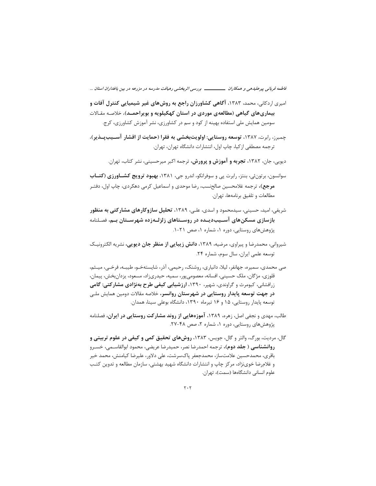فاطمه قربانی پیرعلیدهی و همکاران ـــــــــــــــــ بررسی اثربخشی رهیافت مدرسه در مزرعه در بین باغداران استان ...

- امیری اردکانی، محمد، ۱۳۸۳، **آگاهی کشاورزان راجع به روشهای غیر شیمیایی کنترل آفات و** بیماریهای گیاهی (مطالعهی موردی در استان کهکیلویه و بویراحمـد)، خلاصـه مقـالات سومین همایش ملی استفاده بهینه از کود و سم در کشاورزی، نشر آموزش کشاورزی، کرج.
- چمبرز، رابرت، ۱۳۸۷، توسعه روستایی: اولویتبخشی به فقرا (حمایت از اقشار آسـیبیــذیر)، ترجمه مصطفى ازكيا، چاپ اول، انتشارات دانشگاه تهران، تهران.

دیویی، جان، ۱۳۸۲، **تجربه و آموزش و پرورش،** ترجمه اکبر میرحسینی، نشر کتاب، تهران.

- سوانسون، برتونئي، بنتز، رابرت یی و سوفرانکو، اندرو جی، ۱۳۸۱، **بهبود ترویج کشــاورزی (کتــاب مرجع)،** ترجمه غلامحسین صالحنسب، رضا موحدی و اسماعیل کرمی دهکردی، چاپ اول، دفتـر مطالعات و تلفيق برنامهها، تهران.
- شریفی، امید، حسینی، سیدمحمود و اسدی، علـی، ۱۳۸۹، **تحلیل سازوکارهای مشارکتی به منظور** بازسازی مسکنهای آسـیبدیــده در روســتاهای زلزلــهزده شهرســتان بــم، فصـلنامه پژوهشهای روستایی، دوره ۱، شماره ۱، صص ۲۱-۱.
- شیروانی، محمدرضا و پیراوی، مرضیه، ۱۳۸۹، **دانش زیبایی از منظر جان دیویی**، نشریه الکترونیک توسعه علمی ایران، سال سوم، شماره ۲۴.
- صی محمدی، سمیره، جهانفر، لیلا، دانیاری، روشنک، رحیمی، آذر، شایستهخـو، طیبـه، فرخـی، میـثم، قلوزي، مژگان، ملک حسيني، افسانه، معصوميپور، سميه، حيدريزاد، مسعود، يزدانبخش، پيمان، زرافشانی، کیومرث و گراوندی، شهپر، ۱۳۹۰، ارزشیابی کیفی طرح بهنژادی مشارکتی: گامی **در جهت توسعه پایدار روستایی در شهرستان روانسر،** خلاصه مقالات دومین همایش ملـی توسعه پایدار روستایی، ۱۵ و ۱۶ تیرماه ۱۳۹۰، دانشگاه بوعلی سینا، همدان.
- طالب، مهدی و نجفی اصل، زهره، ۱۳۸۹، آ**موزههایی از روند مشارکت روستایی در ایران،** فصلنامه پژوهشهای روستایی، دوره ۰۱ شماره ۲، صص ۴۸-۲۷.
- گال، مردیت، بورگ، والتر و گال، جویس، ۱۳۸۳، **روشهای تحقیق کمی و کیفی در علوم تربیتی و روانشناسی ( جلد دوم)،** ترجمه احمدرضا نصر، حمیدرضا عریضی، محمود ابوالقاسـمی، خسـرو باقری، محمدحسین علامتساز، محمدجعفر پاکسرشت، علی دلاور، علیرضا کیامنش، محمد خیر و غلامرضا خوینژاد، مرکز چاپ و انتشارات دانشگاه شهید بهشتی، سازمان مطالعه و تدوین کتب علوم انسانی دانشگاهها (سمت)، تهران.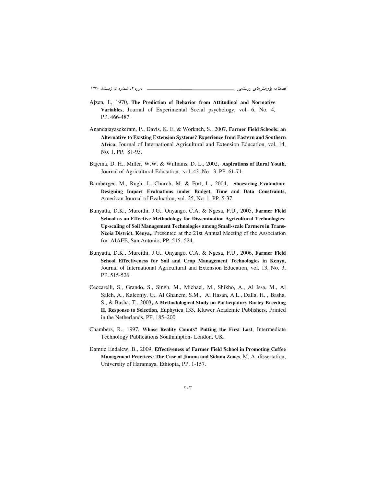- Ajzen, I., 1970, **The Prediction of Behavior from Attitudinal and Normative Variables**, Journal of Experimental Social psychology, vol. 6, No. 4, PP. 466-487.
- Anandajayasekeram, P., Davis, K. E. & Workneh, S., 2007, **Farmer Field Schools: an Alternative to Existing Extension Systems? Experience from Eastern and Southern Africa,** Journal of International Agricultural and Extension Education, vol. 14, No. 1, PP. 81-93.
- Bajema, D. H., Miller, W.W. & Williams, D. L., 2002**, Aspirations of Rural Youth,** Journal of Agricultural Education, vol. 43, No. 3, PP. 61-71.
- Bamberger, M., Rugh, J., Church, M. & Fort, L., 2004, **Shoestring Evaluation: Designing Impact Evaluations under Budget, Time and Data Constraints,** American Journal of Evaluation, vol. 25, No. 1, PP. 5-37.
- Bunyatta, D.K., Mureithi, J.G., Onyango, C.A. & Ngesa, F.U., 2005, **Farmer Field School as an Effective Methodology for Dissemination Agricultural Technologies: Up-scaling of Soil Management Technologies among Small-scale Farmers in Trans-Nzoia District, Kenya,**. Presented at the 21st Annual Meeting of the Association for AIAEE, San Antonio, PP. 515- 524.
- Bunyatta, D.K., Mureithi, J.G., Onyango, C.A. & Ngesa, F.U., 2006, **Farmer Field School Effectiveness for Soil and Crop Management Technologies in Kenya,** Journal of International Agricultural and Extension Education, vol. 13, No. 3, PP. 515-526.
- Ceccarelli, S., Grando, S., Singh, M., Michael, M., Shikho, A., Al Issa, M., Al Saleh, A., Kaleonjy, G., Al Ghanem, S.M., Al Hasan, A.L., Dalla, H. , Basha, S., & Basha, T., 2003**, A Methodological Study on Participatory Barley Breeding II. Response to Selection,** Euphytica 133, Kluwer Academic Publishers, Printed in the Netherlands, PP. 185–200.
- Chambers, R., 1997, **Whose Reality Counts? Putting the First Last**, Intermediate Technology Publications Southampton- London, UK.
- Damtie Endalew, B., 2009, **Effectiveness of Farmer Field School in Promoting Coffee Management Practices: The Case of Jimma and Sidana Zones**, M. A. dissertation, University of Haramaya, Ethiopia, PP. 1-157.

 $\mathbf{r} \cdot \mathbf{r}$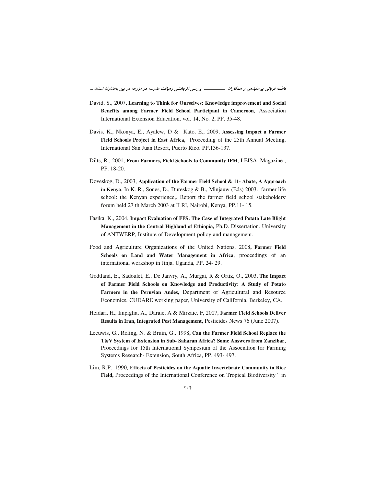فاطمه قربانی پیرعلیدهی و همکاران ــــــــــــــــــــــ بررسی اثربخشی رهیافت مدرسه در مزرعه در بین باغداران استان ...

- David, S., 2007, Learning to Think for Ourselves: Knowledge improvement and Social Benefits among Farmer Field School Participant in Cameroon, Association International Extension Education, vol. 14, No. 2, PP. 35-48.
- Davis, K., Nkonya, E., Ayalew, D & Kato, E., 2009, Assessing Impact a Farmer Field Schools Project in East Africa, Proceeding of the 25th Annual Meeting, International San Juan Resort, Puerto Rico. PP.136-137.
- Dilts, R., 2001, From Farmers, Field Schools to Community IPM, LEISA Magazine, PP. 18-20.
- Doveskog, D., 2003, Application of the Farmer Field School & 11- Abate, A Approach in Kenya, In K. R., Sones, D., Dureskog & B., Minjauw (Eds) 2003. farmer life school: the Kenyan experience,. Report the farmer field school stakeholders forum held 27 th March 2003 at ILRI, Nairobi, Kenya, PP.11-15.
- Fasika, K., 2004, Impact Evaluation of FFS: The Case of Integrated Potato Late Blight Management in the Central Highland of Ethiopia, Ph.D. Dissertation. University of ANTWERP, Institute of Development policy and management.
- Food and Agriculture Organizations of the United Nations, 2008, Farmer Field Schools on Land and Water Management in Africa, proceedings of an international workshop in Jinja, Uganda, PP. 24- 29.
- Godtland, E., Sadoulet, E., De Janvry, A., Murgai, R & Ortiz, O., 2003, The Impact of Farmer Field Schools on Knowledge and Productivity: A Study of Potato Farmers in the Peruvian Andes, Department of Agricultural and Resource Economics, CUDARE working paper, University of California, Berkeley, CA.
- Heidari, H., Impiglia, A., Daraie, A & Mirzaie, F, 2007, Farmer Field Schools Deliver Results in Iran, Integrated Pest Management, Pesticides News 76 (June 2007).
- Leeuwis, G., Roling, N. & Bruin, G., 1998, Can the Farmer Field School Replace the T&V System of Extension in Sub- Saharan Africa? Some Answers from Zanzibar, Proceedings for 15th International Symposium of the Association for Farming Systems Research-Extension, South Africa, PP. 493- 497.
- Lim, R.P., 1990, Effects of Pesticides on the Aquatic Invertebrate Community in Rice Field, Proceedings of the International Conference on Tropical Biodiversity " in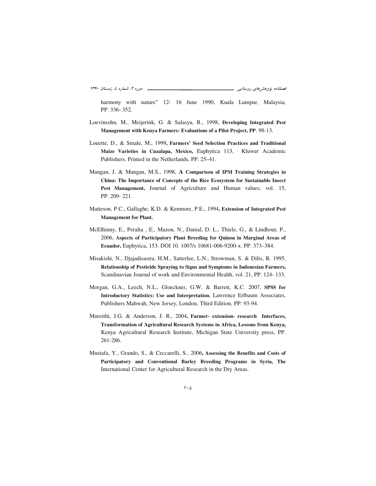harmony with nature" 12- 16 June 1990, Kuala Lumpur, Malaysia, PP. 336- 352.

- Loevinsohn, M., Meijerink, G. & Salasya, B., 1998, **Developing Integrated Pest Management with Kenya Farmers: Evaluations of a Pilot Project, PP**. 98-13.
- Louette, D., & Smale, M., 1999**, Farmers' Seed Selection Practices and Traditional Maize Varieties in Cuzalapa, Mexico,** Euphytica 113, Kluwer Academic Publishers. Printed in the Netherlands, PP. 25–41.
- Mangan, J. & Mangan, M.S., 1998, **A Comparison of IPM Training Strategies in China: The Importance of Concepts of the Rice Ecosystem for Sustainable Insect Pest Management,** Journal of Agriculture and Human values, vol. 15, PP. 209- 221.
- Matteson, P.C., Gallaghe, K.D. & Kenmore, P.E., 1994**, Extension of Integrated Pest Management for Plant.**
- McElhinny, E., Peralta , E., Mazon, N., Danial, D. L., Thiele, G., & Lindhout, P., 2006, **Aspects of Participatory Plant Breeding for Quinoa in Marginal Areas of Ecuador,** Euphytica, 153. DOI 10. 1007/s 10681-006-9200-x. PP. 373–384.
- Misakishi, N., Djajadisastra, H.M., Satterlee, L.N., Strowman, S. & Dilts, R. 1995, **Relationship of Pesticide Spraying to Signs and Symptoms in Indonesian Farmers,** Scandinavian Journal of work and Environmental Health, vol. 21, PP. 124- 133.
- Morgan, G.A., Leech, N.L., Gloeckner, G.W. & Barrett, K.C. 2007, **SPSS for Introductory Statistics: Use and Interpretation**, Lawrence Erlbaum Associates, Publishers Mahwah, New Jersey, London, Third Edition, PP: 93-94.
- Mureithi, J.G. & Anderson, J. R., 2004**, Farmer- extension- research Interfaces, Transformation of Agricultural Research Systems in Africa, Lessons from Kenya,** Kenya Agricultural Research Institute, Michigan State University press, PP. 261-286.
- Mustafa, Y., Grando, S., & Ceccarelli, S., 2006**, Assessing the Benefits and Costs of Participatory and Conventional Barley Breeding Programs in Syria, The** International Center for Agricultural Research in the Dry Areas.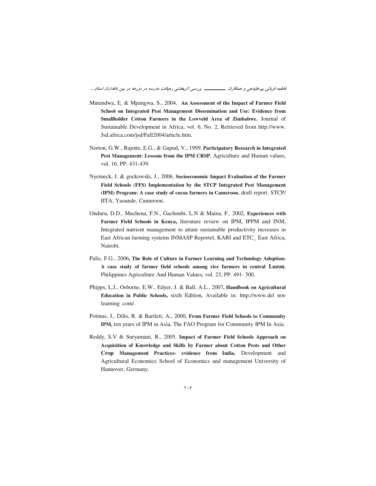- Mutandwa, E. & Mpangwa, S., 2004, An Assessment of the Impact of Farmer Field School on Integrated Pest Management Dissemination and Use: Evidence from Smallholder Cotton Farmers in the Lowveld Area of Zimbabwe, Journal of Sustainable Development in Africa, vol. 6, No. 2, Retrieved from http://www. Jsd.africa.com/jsd/Fall2004/article.htm.
- Norton, G.W., Rajotte, E.G., & Gapud, V., 1999, Participatory Research in Integrated Pest Management: Lessons from the IPM CRSP, Agriculture and Human values, vol. 16, PP. 431-439.
- Nyemeck, J. & gockowski, J., 2006, Socioeconomic Impact Evaluation of the Farmer Field Schools (FFS) Implementation by the STCP Integrated Pest Management (IPM) Program: A case study of cocoa farmers in Cameroon, draft report. STCP/ IITA, Yaounde, Cameroon.
- Onduru, D.D., Muchena, F.N., Gachimbi, L.N & Maina, F., 2002, Experiences with Farmer Field Schools in Kenya, literature review on IPM, IPPM and INM, Integrated nutrient management to attain sustainable productivity increases in East African farming systems INMASP Reportel, KARI and ETC\_East Africa, Nairobi.
- Palis, F.G., 2006, The Role of Culture in Farmer Learning and Technology Adoption: A case study of farmer field schools among rice farmers in central Luzon, Philippines Agriculture And Human Values, vol. 23, PP. 491-500.
- Phipps, L.J., Osborne, E.W., Edyer, J. & Ball, A.L., 2007, Handbook on Agricultural Education in Public Schools, sixth Edition, Available in: http://www.del mw learning .com/.
- Potinus, J., Dilts, R. & Bartlett, A., 2000, From Farmer Field Schools to Community IPM, ten years of IPM in Asia, The FAO Program for Community IPM In Asia.
- Reddy, S.V & Suryamani, R., 2005, Impact of Farmer Field Schools Approach on Acquisition of Knowledge and Skills by Farmer about Cotton Pests and Other Crop Management Practices- evidence from India, Development and Agricultural Economics School of Economics and management University of Hannover, Germany.

 $\mathbf{y} \cdot \mathbf{y}$